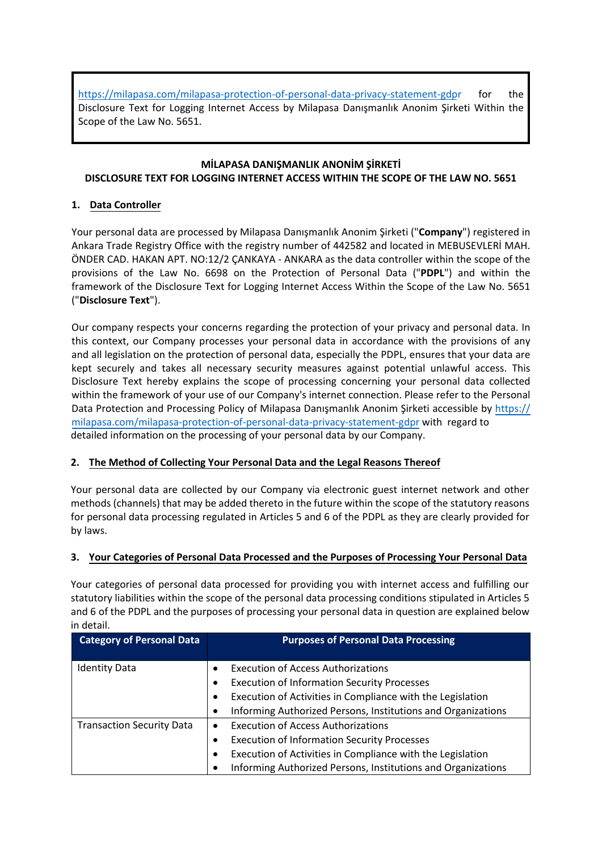https://milapasa.com/milapasa[-protection-of-personal-data-privacy-statement-gdpr](https://weglobal.org/weglobal-protection-of-personal-data-privacy-statement-gdpr) for the Disclosure Text for Logging Internet Access by Milapasa Danışmanlık Anonim Şirketi Within the Scope of the Law No. 5651.

# **MİLAPASA DANIŞMANLIK ANONİM ŞİRKETİ DISCLOSURE TEXT FOR LOGGING INTERNET ACCESS WITHIN THE SCOPE OF THE LAW NO. 5651**

# **1. Data Controller**

Your personal data are processed by Milapasa Danışmanlık Anonim Şirketi ("**Company**") registered in Ankara Trade Registry Office with the registry number of 442582 and located in MEBUSEVLERİ MAH. ÖNDER CAD. HAKAN APT. NO:12/2 ÇANKAYA - ANKARA as the data controller within the scope of the provisions of the Law No. 6698 on the Protection of Personal Data ("**PDPL**") and within the framework of the Disclosure Text for Logging Internet Access Within the Scope of the Law No. 5651 ("**Disclosure Text**").

Our company respects your concerns regarding the protection of your privacy and personal data. In this context, our Company processes your personal data in accordance with the provisions of any and all legislation on the protection of personal data, especially the PDPL, ensures that your data are kept securely and takes all necessary security measures against potential unlawful access. This Disclosure Text hereby explains the scope of processing concerning your personal data collected within the framework of your use of our Company's internet connection. Please refer to the Personal Data [Protection and Processing Policy of](https://weglobal.org/weglobal-protection-of-personal-data-privacy-statement-gdpr) Milapasa Danışmanlık Anonim Şirketi accessible by https:// milapasa.com/milapasa-protection-of-personal-data-privacy-statement-gdpr with regard to detailed information on the processing of your personal data by our Company.

# **2. The Method of Collecting Your Personal Data and the Legal Reasons Thereof**

Your personal data are collected by our Company via electronic guest internet network and other methods (channels) that may be added thereto in the future within the scope of the statutory reasons for personal data processing regulated in Articles 5 and 6 of the PDPL as they are clearly provided for by laws.

# **3. Your Categories of Personal Data Processed and the Purposes of Processing Your Personal Data**

Your categories of personal data processed for providing you with internet access and fulfilling our statutory liabilities within the scope of the personal data processing conditions stipulated in Articles 5 and 6 of the PDPL and the purposes of processing your personal data in question are explained below in detail.

| <b>Category of Personal Data</b> | <b>Purposes of Personal Data Processing</b>                       |
|----------------------------------|-------------------------------------------------------------------|
| <b>Identity Data</b>             | <b>Execution of Access Authorizations</b><br>$\bullet$            |
|                                  | <b>Execution of Information Security Processes</b><br>$\bullet$   |
|                                  | Execution of Activities in Compliance with the Legislation<br>٠   |
|                                  | Informing Authorized Persons, Institutions and Organizations<br>٠ |
| <b>Transaction Security Data</b> | <b>Execution of Access Authorizations</b><br>$\bullet$            |
|                                  | <b>Execution of Information Security Processes</b><br>٠           |
|                                  | Execution of Activities in Compliance with the Legislation<br>٠   |
|                                  | Informing Authorized Persons, Institutions and Organizations      |